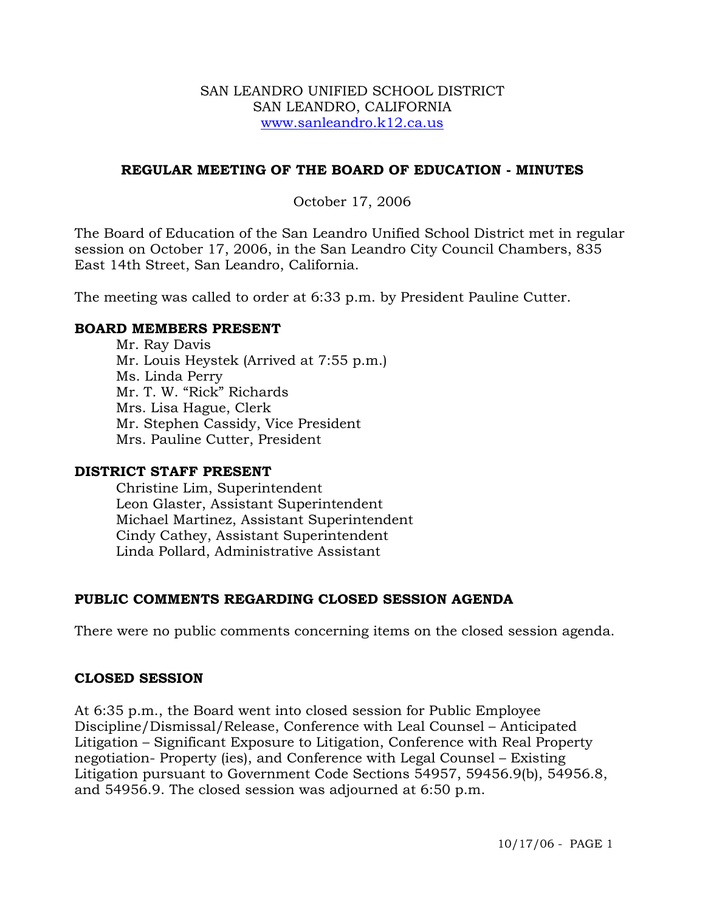### SAN LEANDRO UNIFIED SCHOOL DISTRICT SAN LEANDRO, CALIFORNIA www.sanleandro.k12.ca.us

### **REGULAR MEETING OF THE BOARD OF EDUCATION - MINUTES**

### October 17, 2006

The Board of Education of the San Leandro Unified School District met in regular session on October 17, 2006, in the San Leandro City Council Chambers, 835 East 14th Street, San Leandro, California.

The meeting was called to order at 6:33 p.m. by President Pauline Cutter.

### **BOARD MEMBERS PRESENT**

Mr. Ray Davis Mr. Louis Heystek (Arrived at 7:55 p.m.) Ms. Linda Perry Mr. T. W. "Rick" Richards Mrs. Lisa Hague, Clerk Mr. Stephen Cassidy, Vice President Mrs. Pauline Cutter, President

### **DISTRICT STAFF PRESENT**

Christine Lim, Superintendent Leon Glaster, Assistant Superintendent Michael Martinez, Assistant Superintendent Cindy Cathey, Assistant Superintendent Linda Pollard, Administrative Assistant

### **PUBLIC COMMENTS REGARDING CLOSED SESSION AGENDA**

There were no public comments concerning items on the closed session agenda.

### **CLOSED SESSION**

At 6:35 p.m., the Board went into closed session for Public Employee Discipline/Dismissal/Release, Conference with Leal Counsel – Anticipated Litigation – Significant Exposure to Litigation, Conference with Real Property negotiation- Property (ies), and Conference with Legal Counsel – Existing Litigation pursuant to Government Code Sections 54957, 59456.9(b), 54956.8, and 54956.9. The closed session was adjourned at 6:50 p.m.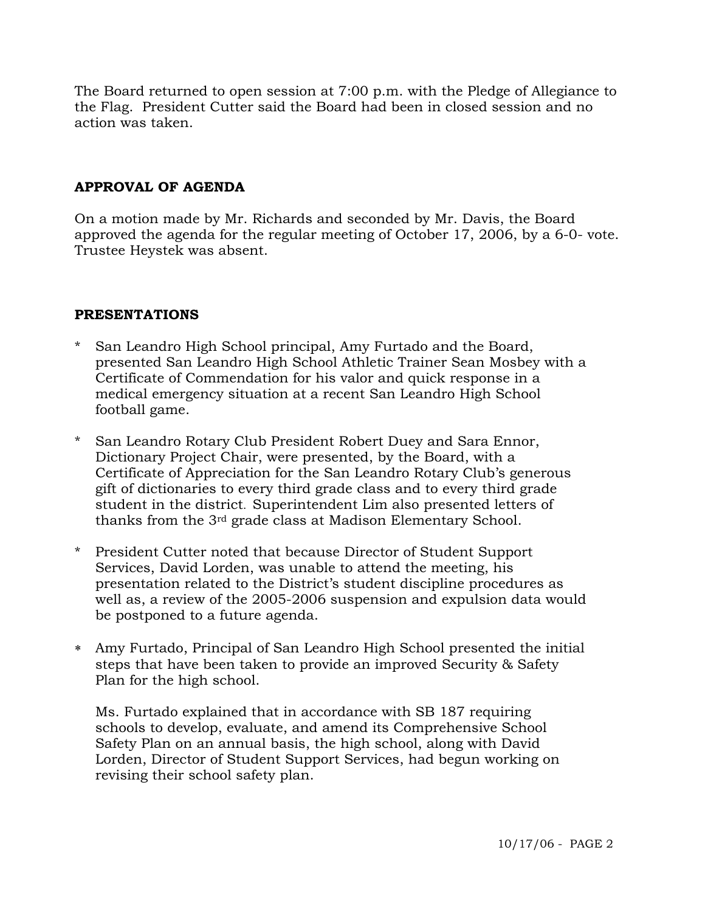The Board returned to open session at 7:00 p.m. with the Pledge of Allegiance to the Flag. President Cutter said the Board had been in closed session and no action was taken.

# **APPROVAL OF AGENDA**

On a motion made by Mr. Richards and seconded by Mr. Davis, the Board approved the agenda for the regular meeting of October 17, 2006, by a 6-0- vote. Trustee Heystek was absent.

### **PRESENTATIONS**

- \* San Leandro High School principal, Amy Furtado and the Board, presented San Leandro High School Athletic Trainer Sean Mosbey with a Certificate of Commendation for his valor and quick response in a medical emergency situation at a recent San Leandro High School football game.
- \* San Leandro Rotary Club President Robert Duey and Sara Ennor, Dictionary Project Chair, were presented, by the Board, with a Certificate of Appreciation for the San Leandro Rotary Club's generous gift of dictionaries to every third grade class and to every third grade student in the district. Superintendent Lim also presented letters of thanks from the 3rd grade class at Madison Elementary School.
- \* President Cutter noted that because Director of Student Support Services, David Lorden, was unable to attend the meeting, his presentation related to the District's student discipline procedures as well as, a review of the 2005-2006 suspension and expulsion data would be postponed to a future agenda.
- ∗ Amy Furtado, Principal of San Leandro High School presented the initial steps that have been taken to provide an improved Security & Safety Plan for the high school.

 Ms. Furtado explained that in accordance with SB 187 requiring schools to develop, evaluate, and amend its Comprehensive School Safety Plan on an annual basis, the high school, along with David Lorden, Director of Student Support Services, had begun working on revising their school safety plan.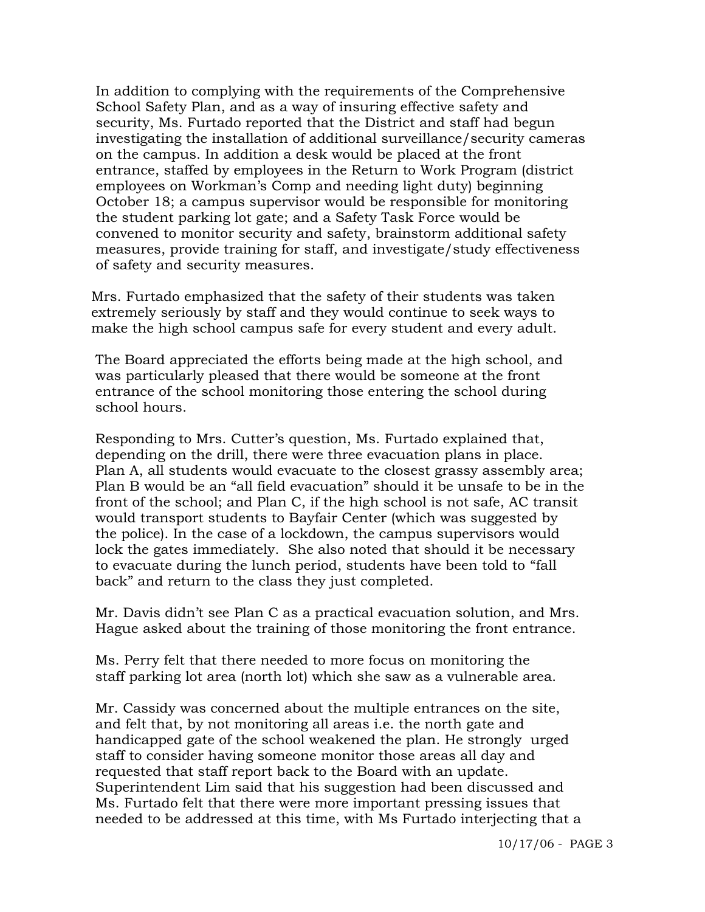In addition to complying with the requirements of the Comprehensive School Safety Plan, and as a way of insuring effective safety and security, Ms. Furtado reported that the District and staff had begun investigating the installation of additional surveillance/security cameras on the campus. In addition a desk would be placed at the front entrance, staffed by employees in the Return to Work Program (district employees on Workman's Comp and needing light duty) beginning October 18; a campus supervisor would be responsible for monitoring the student parking lot gate; and a Safety Task Force would be convened to monitor security and safety, brainstorm additional safety measures, provide training for staff, and investigate/study effectiveness of safety and security measures.

Mrs. Furtado emphasized that the safety of their students was taken extremely seriously by staff and they would continue to seek ways to make the high school campus safe for every student and every adult.

 The Board appreciated the efforts being made at the high school, and was particularly pleased that there would be someone at the front entrance of the school monitoring those entering the school during school hours.

 Responding to Mrs. Cutter's question, Ms. Furtado explained that, depending on the drill, there were three evacuation plans in place. Plan A, all students would evacuate to the closest grassy assembly area; Plan B would be an "all field evacuation" should it be unsafe to be in the front of the school; and Plan C, if the high school is not safe, AC transit would transport students to Bayfair Center (which was suggested by the police). In the case of a lockdown, the campus supervisors would lock the gates immediately. She also noted that should it be necessary to evacuate during the lunch period, students have been told to "fall back" and return to the class they just completed.

 Mr. Davis didn't see Plan C as a practical evacuation solution, and Mrs. Hague asked about the training of those monitoring the front entrance.

 Ms. Perry felt that there needed to more focus on monitoring the staff parking lot area (north lot) which she saw as a vulnerable area.

 Mr. Cassidy was concerned about the multiple entrances on the site, and felt that, by not monitoring all areas i.e. the north gate and handicapped gate of the school weakened the plan. He strongly urged staff to consider having someone monitor those areas all day and requested that staff report back to the Board with an update. Superintendent Lim said that his suggestion had been discussed and Ms. Furtado felt that there were more important pressing issues that needed to be addressed at this time, with Ms Furtado interjecting that a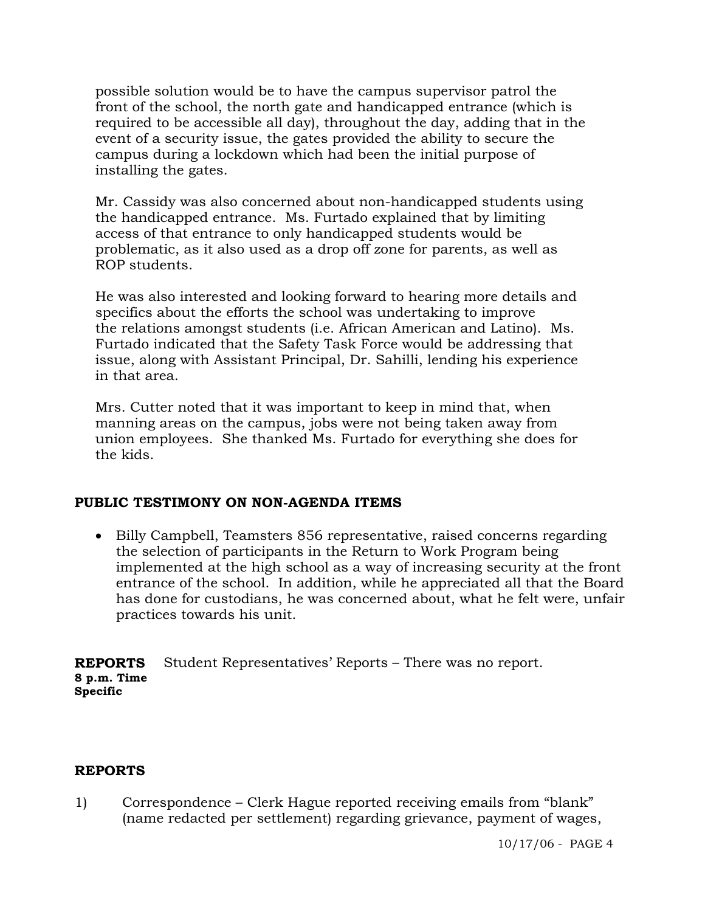possible solution would be to have the campus supervisor patrol the front of the school, the north gate and handicapped entrance (which is required to be accessible all day), throughout the day, adding that in the event of a security issue, the gates provided the ability to secure the campus during a lockdown which had been the initial purpose of installing the gates.

 Mr. Cassidy was also concerned about non-handicapped students using the handicapped entrance. Ms. Furtado explained that by limiting access of that entrance to only handicapped students would be problematic, as it also used as a drop off zone for parents, as well as ROP students.

 He was also interested and looking forward to hearing more details and specifics about the efforts the school was undertaking to improve the relations amongst students (i.e. African American and Latino). Ms. Furtado indicated that the Safety Task Force would be addressing that issue, along with Assistant Principal, Dr. Sahilli, lending his experience in that area.

 Mrs. Cutter noted that it was important to keep in mind that, when manning areas on the campus, jobs were not being taken away from union employees. She thanked Ms. Furtado for everything she does for the kids.

### **PUBLIC TESTIMONY ON NON-AGENDA ITEMS**

• Billy Campbell, Teamsters 856 representative, raised concerns regarding the selection of participants in the Return to Work Program being implemented at the high school as a way of increasing security at the front entrance of the school. In addition, while he appreciated all that the Board has done for custodians, he was concerned about, what he felt were, unfair practices towards his unit.

**REPORTS 8 p.m. Time Specific**  Student Representatives' Reports – There was no report.

### **REPORTS**

1) Correspondence – Clerk Hague reported receiving emails from "blank" (name redacted per settlement) regarding grievance, payment of wages,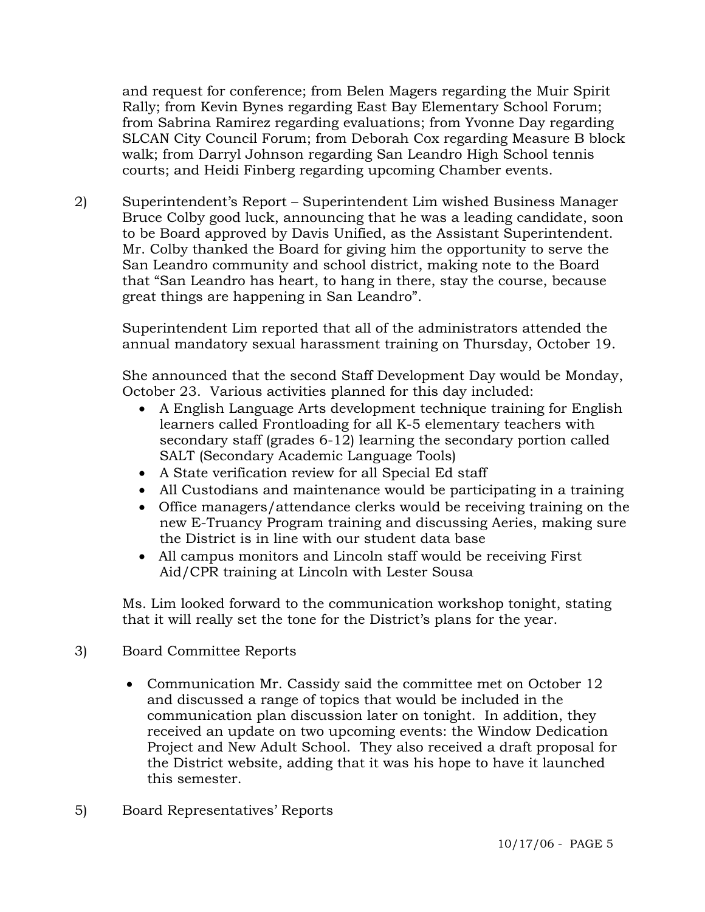and request for conference; from Belen Magers regarding the Muir Spirit Rally; from Kevin Bynes regarding East Bay Elementary School Forum; from Sabrina Ramirez regarding evaluations; from Yvonne Day regarding SLCAN City Council Forum; from Deborah Cox regarding Measure B block walk; from Darryl Johnson regarding San Leandro High School tennis courts; and Heidi Finberg regarding upcoming Chamber events.

2) Superintendent's Report – Superintendent Lim wished Business Manager Bruce Colby good luck, announcing that he was a leading candidate, soon to be Board approved by Davis Unified, as the Assistant Superintendent. Mr. Colby thanked the Board for giving him the opportunity to serve the San Leandro community and school district, making note to the Board that "San Leandro has heart, to hang in there, stay the course, because great things are happening in San Leandro".

Superintendent Lim reported that all of the administrators attended the annual mandatory sexual harassment training on Thursday, October 19.

She announced that the second Staff Development Day would be Monday, October 23. Various activities planned for this day included:

- A English Language Arts development technique training for English learners called Frontloading for all K-5 elementary teachers with secondary staff (grades 6-12) learning the secondary portion called SALT (Secondary Academic Language Tools)
- A State verification review for all Special Ed staff
- All Custodians and maintenance would be participating in a training
- Office managers/attendance clerks would be receiving training on the new E-Truancy Program training and discussing Aeries, making sure the District is in line with our student data base
- All campus monitors and Lincoln staff would be receiving First Aid/CPR training at Lincoln with Lester Sousa

Ms. Lim looked forward to the communication workshop tonight, stating that it will really set the tone for the District's plans for the year.

- 3) Board Committee Reports
	- Communication Mr. Cassidy said the committee met on October 12 and discussed a range of topics that would be included in the communication plan discussion later on tonight. In addition, they received an update on two upcoming events: the Window Dedication Project and New Adult School. They also received a draft proposal for the District website, adding that it was his hope to have it launched this semester.
- 5) Board Representatives' Reports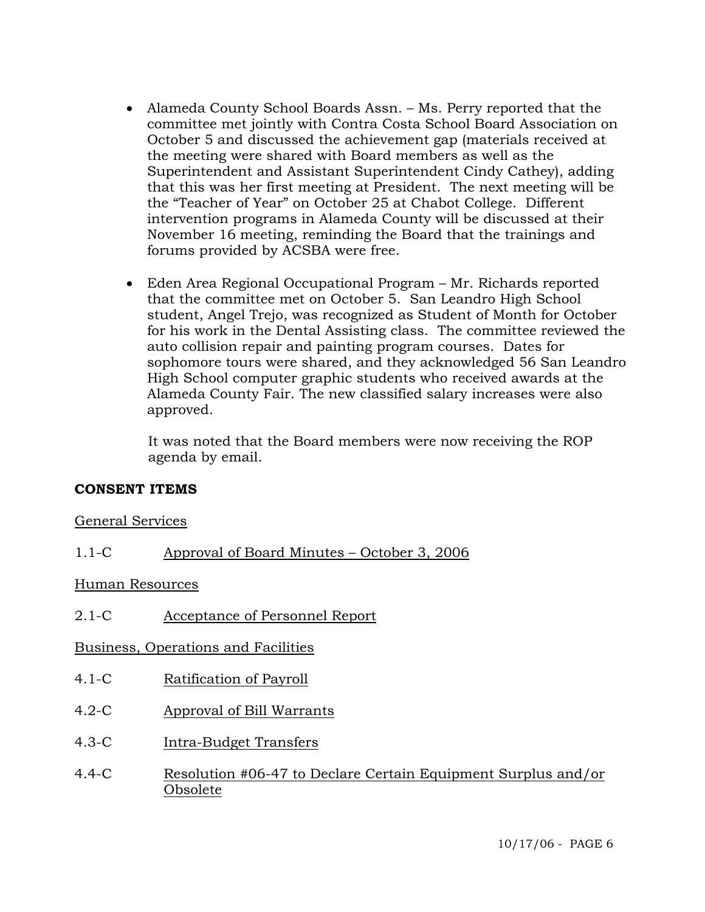- Alameda County School Boards Assn. Ms. Perry reported that the committee met jointly with Contra Costa School Board Association on October 5 and discussed the achievement gap (materials received at the meeting were shared with Board members as well as the Superintendent and Assistant Superintendent Cindy Cathey), adding that this was her first meeting at President. The next meeting will be the "Teacher of Year" on October 25 at Chabot College. Different intervention programs in Alameda County will be discussed at their November 16 meeting, reminding the Board that the trainings and forums provided by ACSBA were free.
- Eden Area Regional Occupational Program Mr. Richards reported that the committee met on October 5. San Leandro High School student, Angel Trejo, was recognized as Student of Month for October for his work in the Dental Assisting class. The committee reviewed the auto collision repair and painting program courses. Dates for sophomore tours were shared, and they acknowledged 56 San Leandro High School computer graphic students who received awards at the Alameda County Fair. The new classified salary increases were also approved.

 It was noted that the Board members were now receiving the ROP agenda by email.

### **CONSENT ITEMS**

### General Services

1.1-C Approval of Board Minutes – October 3, 2006

### Human Resources

2.1-C Acceptance of Personnel Report

### Business, Operations and Facilities

- 4.1-C Ratification of Payroll
- 4.2-C Approval of Bill Warrants
- 4.3-C Intra-Budget Transfers
- 4.4-C Resolution #06-47 to Declare Certain Equipment Surplus and/or Obsolete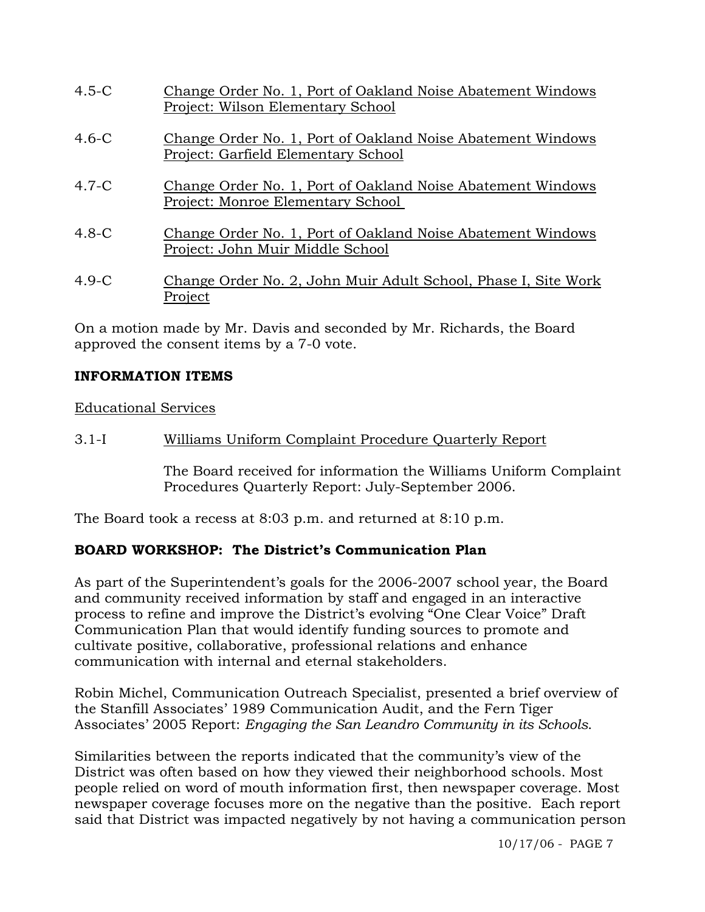| $4.5-C$ | Change Order No. 1, Port of Oakland Noise Abatement Windows<br>Project: Wilson Elementary School   |
|---------|----------------------------------------------------------------------------------------------------|
| $4.6-C$ | Change Order No. 1, Port of Oakland Noise Abatement Windows<br>Project: Garfield Elementary School |
| $4.7-C$ | Change Order No. 1, Port of Oakland Noise Abatement Windows<br>Project: Monroe Elementary School   |
| $4.8-C$ | Change Order No. 1, Port of Oakland Noise Abatement Windows<br>Project: John Muir Middle School    |
| $4.9-C$ | Change Order No. 2, John Muir Adult School, Phase I, Site Work<br>Project                          |

On a motion made by Mr. Davis and seconded by Mr. Richards, the Board approved the consent items by a 7-0 vote.

# **INFORMATION ITEMS**

Educational Services

3.1-I Williams Uniform Complaint Procedure Quarterly Report

The Board received for information the Williams Uniform Complaint Procedures Quarterly Report: July-September 2006.

The Board took a recess at 8:03 p.m. and returned at 8:10 p.m.

### **BOARD WORKSHOP: The District's Communication Plan**

As part of the Superintendent's goals for the 2006-2007 school year, the Board and community received information by staff and engaged in an interactive process to refine and improve the District's evolving "One Clear Voice" Draft Communication Plan that would identify funding sources to promote and cultivate positive, collaborative, professional relations and enhance communication with internal and eternal stakeholders.

Robin Michel, Communication Outreach Specialist, presented a brief overview of the Stanfill Associates' 1989 Communication Audit, and the Fern Tiger Associates' 2005 Report: *Engaging the San Leandro Community in its Schools*.

Similarities between the reports indicated that the community's view of the District was often based on how they viewed their neighborhood schools. Most people relied on word of mouth information first, then newspaper coverage. Most newspaper coverage focuses more on the negative than the positive. Each report said that District was impacted negatively by not having a communication person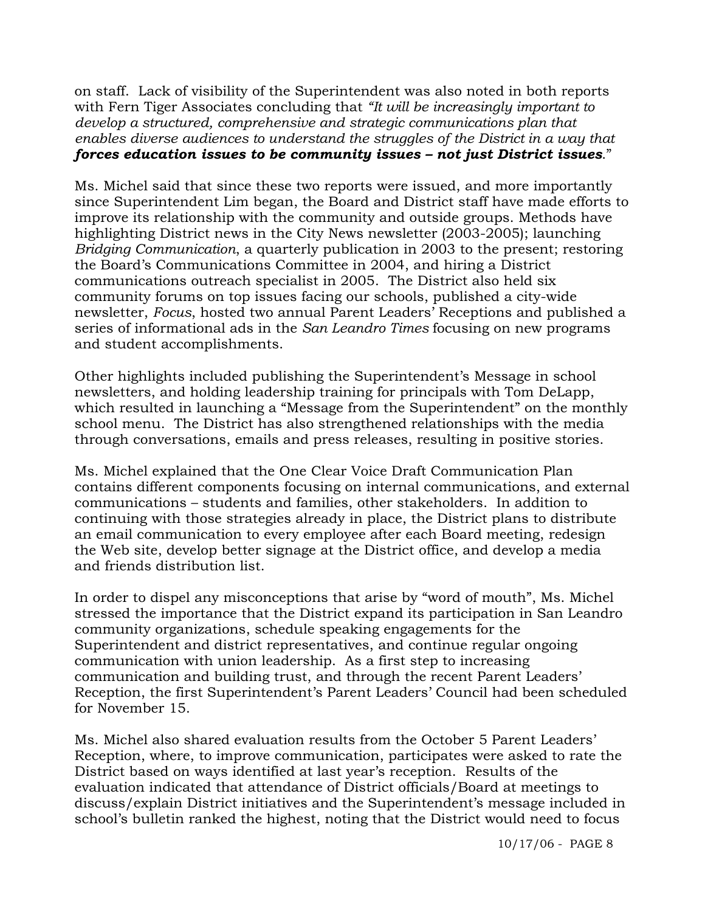on staff. Lack of visibility of the Superintendent was also noted in both reports with Fern Tiger Associates concluding that *"It will be increasingly important to develop a structured, comprehensive and strategic communications plan that enables diverse audiences to understand the struggles of the District in a way that forces education issues to be community issues – not just District issues*."

Ms. Michel said that since these two reports were issued, and more importantly since Superintendent Lim began, the Board and District staff have made efforts to improve its relationship with the community and outside groups. Methods have highlighting District news in the City News newsletter (2003-2005); launching *Bridging Communication*, a quarterly publication in 2003 to the present; restoring the Board's Communications Committee in 2004, and hiring a District communications outreach specialist in 2005. The District also held six community forums on top issues facing our schools, published a city-wide newsletter, *Focus*, hosted two annual Parent Leaders' Receptions and published a series of informational ads in the *San Leandro Times* focusing on new programs and student accomplishments.

Other highlights included publishing the Superintendent's Message in school newsletters, and holding leadership training for principals with Tom DeLapp, which resulted in launching a "Message from the Superintendent" on the monthly school menu. The District has also strengthened relationships with the media through conversations, emails and press releases, resulting in positive stories.

Ms. Michel explained that the One Clear Voice Draft Communication Plan contains different components focusing on internal communications, and external communications – students and families, other stakeholders. In addition to continuing with those strategies already in place, the District plans to distribute an email communication to every employee after each Board meeting, redesign the Web site, develop better signage at the District office, and develop a media and friends distribution list.

In order to dispel any misconceptions that arise by "word of mouth", Ms. Michel stressed the importance that the District expand its participation in San Leandro community organizations, schedule speaking engagements for the Superintendent and district representatives, and continue regular ongoing communication with union leadership. As a first step to increasing communication and building trust, and through the recent Parent Leaders' Reception, the first Superintendent's Parent Leaders' Council had been scheduled for November 15.

Ms. Michel also shared evaluation results from the October 5 Parent Leaders' Reception, where, to improve communication, participates were asked to rate the District based on ways identified at last year's reception. Results of the evaluation indicated that attendance of District officials/Board at meetings to discuss/explain District initiatives and the Superintendent's message included in school's bulletin ranked the highest, noting that the District would need to focus

10/17/06 - PAGE 8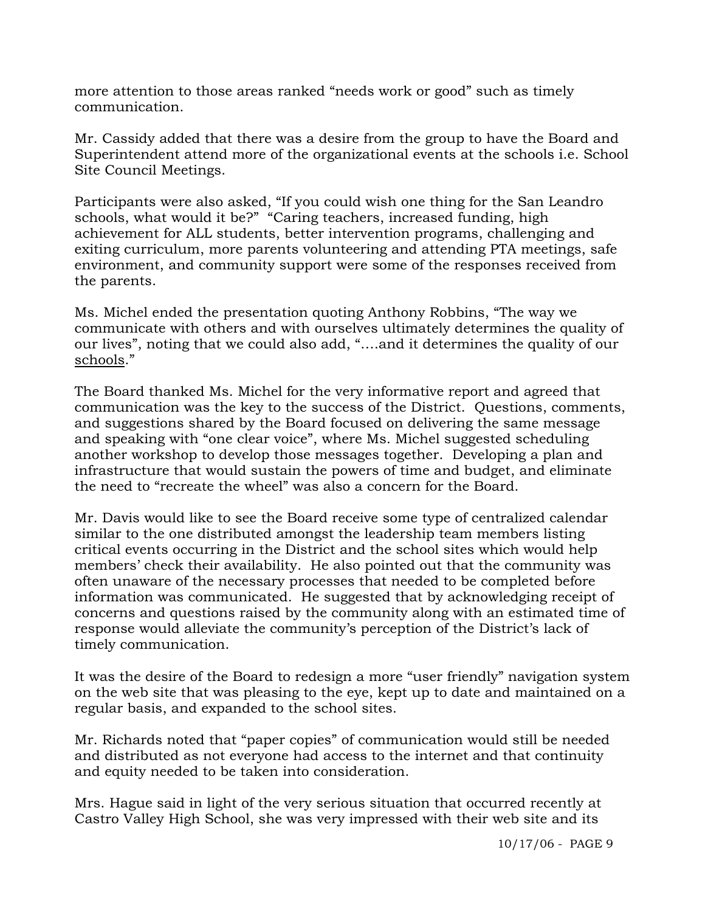more attention to those areas ranked "needs work or good" such as timely communication.

Mr. Cassidy added that there was a desire from the group to have the Board and Superintendent attend more of the organizational events at the schools i.e. School Site Council Meetings.

Participants were also asked, "If you could wish one thing for the San Leandro schools, what would it be?" "Caring teachers, increased funding, high achievement for ALL students, better intervention programs, challenging and exiting curriculum, more parents volunteering and attending PTA meetings, safe environment, and community support were some of the responses received from the parents.

Ms. Michel ended the presentation quoting Anthony Robbins, "The way we communicate with others and with ourselves ultimately determines the quality of our lives", noting that we could also add, "….and it determines the quality of our schools."

The Board thanked Ms. Michel for the very informative report and agreed that communication was the key to the success of the District. Questions, comments, and suggestions shared by the Board focused on delivering the same message and speaking with "one clear voice", where Ms. Michel suggested scheduling another workshop to develop those messages together. Developing a plan and infrastructure that would sustain the powers of time and budget, and eliminate the need to "recreate the wheel" was also a concern for the Board.

Mr. Davis would like to see the Board receive some type of centralized calendar similar to the one distributed amongst the leadership team members listing critical events occurring in the District and the school sites which would help members' check their availability. He also pointed out that the community was often unaware of the necessary processes that needed to be completed before information was communicated. He suggested that by acknowledging receipt of concerns and questions raised by the community along with an estimated time of response would alleviate the community's perception of the District's lack of timely communication.

It was the desire of the Board to redesign a more "user friendly" navigation system on the web site that was pleasing to the eye, kept up to date and maintained on a regular basis, and expanded to the school sites.

Mr. Richards noted that "paper copies" of communication would still be needed and distributed as not everyone had access to the internet and that continuity and equity needed to be taken into consideration.

Mrs. Hague said in light of the very serious situation that occurred recently at Castro Valley High School, she was very impressed with their web site and its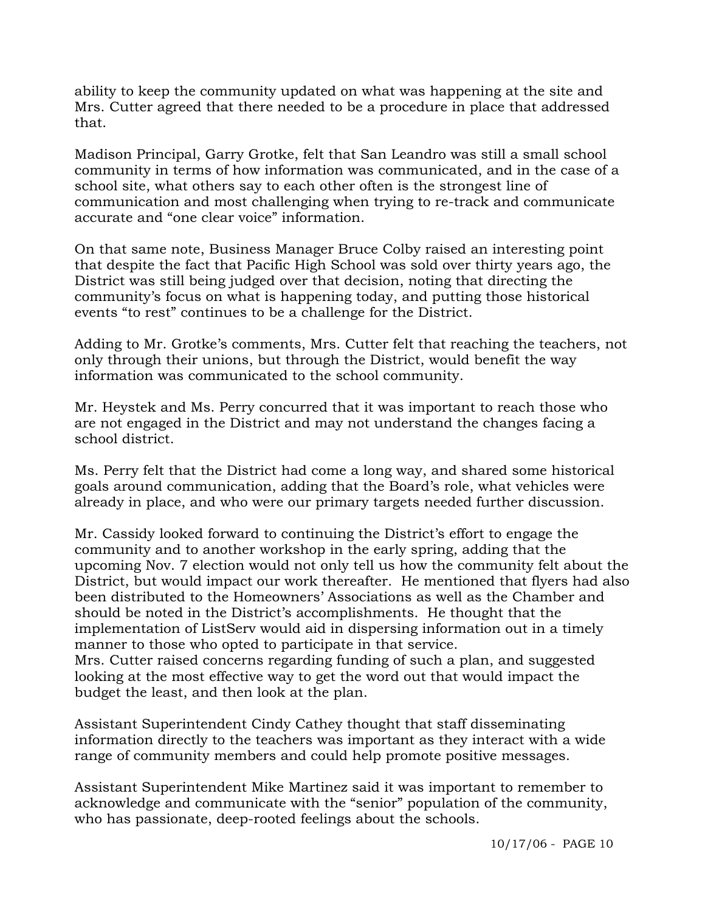ability to keep the community updated on what was happening at the site and Mrs. Cutter agreed that there needed to be a procedure in place that addressed that.

Madison Principal, Garry Grotke, felt that San Leandro was still a small school community in terms of how information was communicated, and in the case of a school site, what others say to each other often is the strongest line of communication and most challenging when trying to re-track and communicate accurate and "one clear voice" information.

On that same note, Business Manager Bruce Colby raised an interesting point that despite the fact that Pacific High School was sold over thirty years ago, the District was still being judged over that decision, noting that directing the community's focus on what is happening today, and putting those historical events "to rest" continues to be a challenge for the District.

Adding to Mr. Grotke's comments, Mrs. Cutter felt that reaching the teachers, not only through their unions, but through the District, would benefit the way information was communicated to the school community.

Mr. Heystek and Ms. Perry concurred that it was important to reach those who are not engaged in the District and may not understand the changes facing a school district.

Ms. Perry felt that the District had come a long way, and shared some historical goals around communication, adding that the Board's role, what vehicles were already in place, and who were our primary targets needed further discussion.

Mr. Cassidy looked forward to continuing the District's effort to engage the community and to another workshop in the early spring, adding that the upcoming Nov. 7 election would not only tell us how the community felt about the District, but would impact our work thereafter. He mentioned that flyers had also been distributed to the Homeowners' Associations as well as the Chamber and should be noted in the District's accomplishments. He thought that the implementation of ListServ would aid in dispersing information out in a timely manner to those who opted to participate in that service. Mrs. Cutter raised concerns regarding funding of such a plan, and suggested looking at the most effective way to get the word out that would impact the budget the least, and then look at the plan.

Assistant Superintendent Cindy Cathey thought that staff disseminating information directly to the teachers was important as they interact with a wide range of community members and could help promote positive messages.

Assistant Superintendent Mike Martinez said it was important to remember to acknowledge and communicate with the "senior" population of the community, who has passionate, deep-rooted feelings about the schools.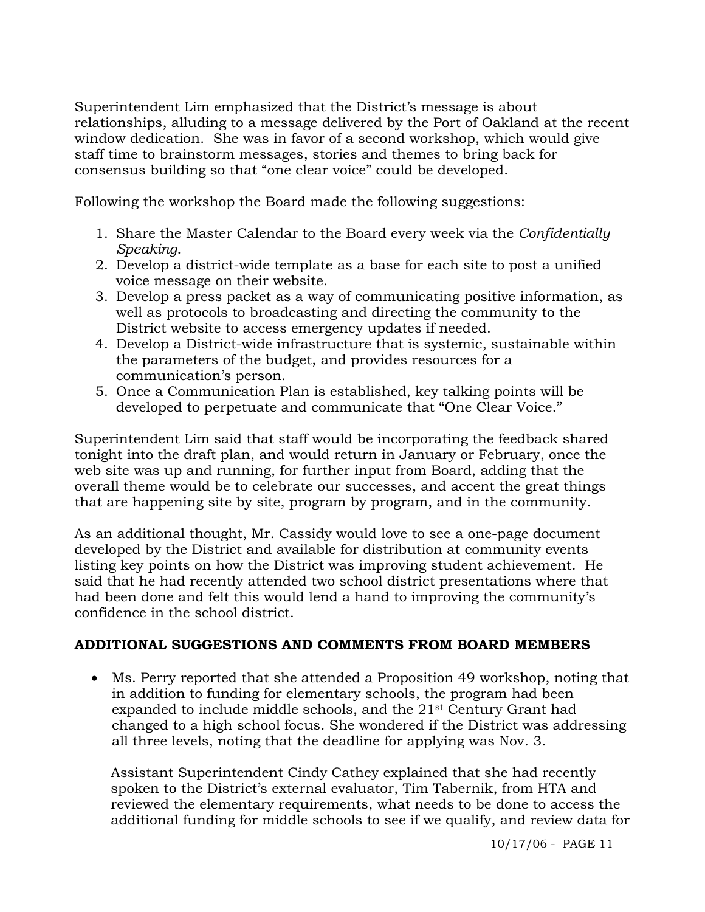Superintendent Lim emphasized that the District's message is about relationships, alluding to a message delivered by the Port of Oakland at the recent window dedication. She was in favor of a second workshop, which would give staff time to brainstorm messages, stories and themes to bring back for consensus building so that "one clear voice" could be developed.

Following the workshop the Board made the following suggestions:

- 1. Share the Master Calendar to the Board every week via the *Confidentially Speaking*.
- 2. Develop a district-wide template as a base for each site to post a unified voice message on their website.
- 3. Develop a press packet as a way of communicating positive information, as well as protocols to broadcasting and directing the community to the District website to access emergency updates if needed.
- 4. Develop a District-wide infrastructure that is systemic, sustainable within the parameters of the budget, and provides resources for a communication's person.
- 5. Once a Communication Plan is established, key talking points will be developed to perpetuate and communicate that "One Clear Voice."

Superintendent Lim said that staff would be incorporating the feedback shared tonight into the draft plan, and would return in January or February, once the web site was up and running, for further input from Board, adding that the overall theme would be to celebrate our successes, and accent the great things that are happening site by site, program by program, and in the community.

As an additional thought, Mr. Cassidy would love to see a one-page document developed by the District and available for distribution at community events listing key points on how the District was improving student achievement. He said that he had recently attended two school district presentations where that had been done and felt this would lend a hand to improving the community's confidence in the school district.

# **ADDITIONAL SUGGESTIONS AND COMMENTS FROM BOARD MEMBERS**

• Ms. Perry reported that she attended a Proposition 49 workshop, noting that in addition to funding for elementary schools, the program had been expanded to include middle schools, and the 21st Century Grant had changed to a high school focus. She wondered if the District was addressing all three levels, noting that the deadline for applying was Nov. 3.

 Assistant Superintendent Cindy Cathey explained that she had recently spoken to the District's external evaluator, Tim Tabernik, from HTA and reviewed the elementary requirements, what needs to be done to access the additional funding for middle schools to see if we qualify, and review data for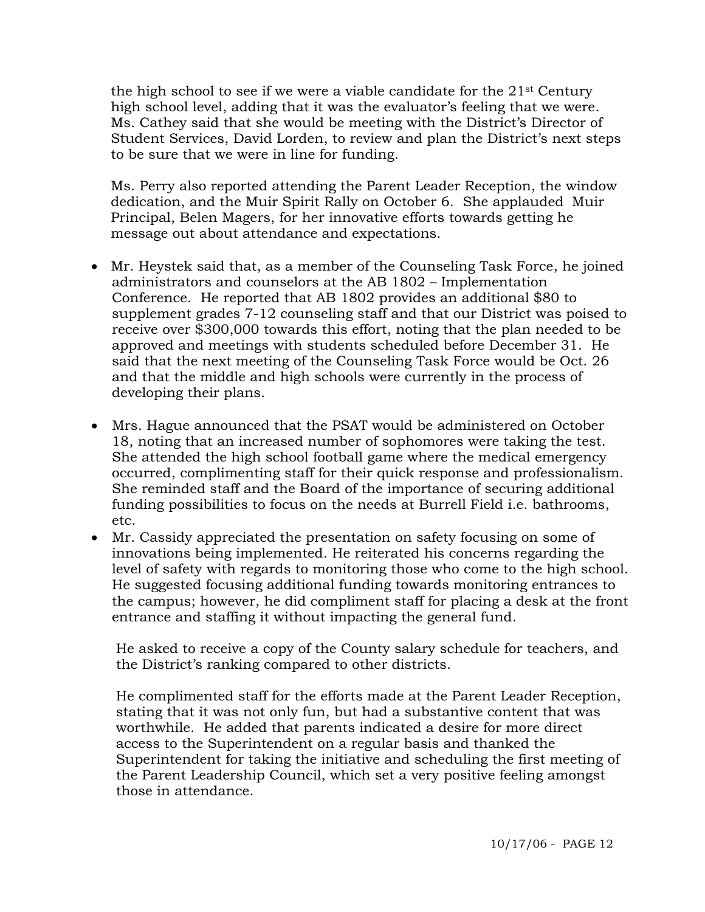the high school to see if we were a viable candidate for the  $21<sup>st</sup>$  Century high school level, adding that it was the evaluator's feeling that we were. Ms. Cathey said that she would be meeting with the District's Director of Student Services, David Lorden, to review and plan the District's next steps to be sure that we were in line for funding.

 Ms. Perry also reported attending the Parent Leader Reception, the window dedication, and the Muir Spirit Rally on October 6. She applauded Muir Principal, Belen Magers, for her innovative efforts towards getting he message out about attendance and expectations.

- Mr. Heystek said that, as a member of the Counseling Task Force, he joined administrators and counselors at the AB 1802 – Implementation Conference. He reported that AB 1802 provides an additional \$80 to supplement grades 7-12 counseling staff and that our District was poised to receive over \$300,000 towards this effort, noting that the plan needed to be approved and meetings with students scheduled before December 31. He said that the next meeting of the Counseling Task Force would be Oct. 26 and that the middle and high schools were currently in the process of developing their plans.
- Mrs. Hague announced that the PSAT would be administered on October 18, noting that an increased number of sophomores were taking the test. She attended the high school football game where the medical emergency occurred, complimenting staff for their quick response and professionalism. She reminded staff and the Board of the importance of securing additional funding possibilities to focus on the needs at Burrell Field i.e. bathrooms, etc.
- Mr. Cassidy appreciated the presentation on safety focusing on some of innovations being implemented. He reiterated his concerns regarding the level of safety with regards to monitoring those who come to the high school. He suggested focusing additional funding towards monitoring entrances to the campus; however, he did compliment staff for placing a desk at the front entrance and staffing it without impacting the general fund.

 He asked to receive a copy of the County salary schedule for teachers, and the District's ranking compared to other districts.

 He complimented staff for the efforts made at the Parent Leader Reception, stating that it was not only fun, but had a substantive content that was worthwhile. He added that parents indicated a desire for more direct access to the Superintendent on a regular basis and thanked the Superintendent for taking the initiative and scheduling the first meeting of the Parent Leadership Council, which set a very positive feeling amongst those in attendance.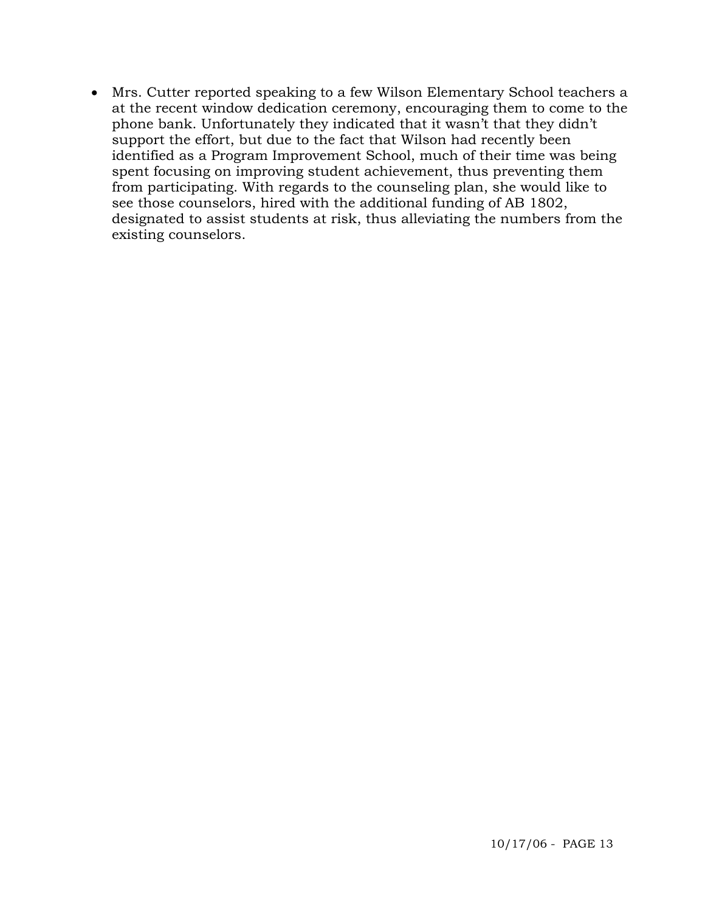• Mrs. Cutter reported speaking to a few Wilson Elementary School teachers a at the recent window dedication ceremony, encouraging them to come to the phone bank. Unfortunately they indicated that it wasn't that they didn't support the effort, but due to the fact that Wilson had recently been identified as a Program Improvement School, much of their time was being spent focusing on improving student achievement, thus preventing them from participating. With regards to the counseling plan, she would like to see those counselors, hired with the additional funding of AB 1802, designated to assist students at risk, thus alleviating the numbers from the existing counselors.